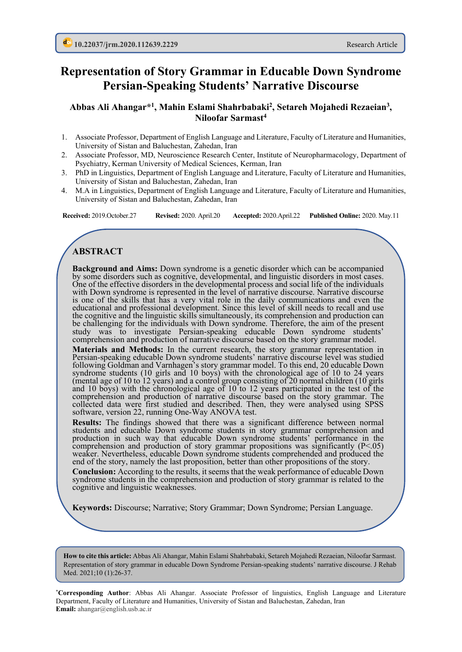## **Representation of Story Grammar in Educable Down Syndrome Persian-Speaking Students' Narrative Discourse**

**Abbas Ali Ahangar\*1, Mahin Eslami Shahrbabaki2, Setareh Mojahedi Rezaeian3, Niloofar Sarmast4**

- 1. Associate Professor, Department of English Language and Literature, Faculty of Literature and Humanities, University of Sistan and Baluchestan, Zahedan, Iran
- 2. Associate Professor, MD, Neuroscience Research Center, Institute of Neuropharmacology, Department of Psychiatry, Kerman University of Medical Sciences, Kerman, Iran
- 3. PhD in Linguistics, Department of English Language and Literature, Faculty of Literature and Humanities, University of Sistan and Baluchestan, Zahedan, Iran
- 4. M.A in Linguistics, Department of English Language and Literature, Faculty of Literature and Humanities, University of Sistan and Baluchestan, Zahedan, Iran

**Received:** 2019.October.27 **Revised:** 2020. April.20 **Accepted:** 2020.April.22 **Published Online:** 2020. May.11

## **ABSTRACT**

**Background and Aims:** Down syndrome is a genetic disorder which can be accompanied by some disorders such as cognitive, developmental, and linguistic disorders in most cases. One of the effective disorders in the developmental process and social life of the individuals with Down syndrome is represented in the level of narrative discourse. Narrative discourse is one of the skills that has a very vital role in the daily communications and even the educational and professional development. Since this level of skill needs to recall and use the cognitive and the linguistic skills simultaneously, its comprehension and production can be challenging for the individuals with Down syndrome. Therefore, the aim of the present study was to investigate Persian-speaking educable Down syndrome students' comprehension and production of narrative discourse based on the story grammar model.

**Materials and Methods:** In the current research, the story grammar representation in Persian-speaking educable Down syndrome students' narrative discourse level was studied following Goldman and Varnhagen's story grammar model. To this end, 20 educable Down syndrome students (10 girls and 10 boys) with the chronological age of 10 to 24 years (mental age of 10 to 12 years) and a control group consisting of 20 normal children (10 girls and 10 boys) with the chronological age of 10 to 12 years participated in the test of the comprehension and production of narrative discourse based on the story grammar. The collected data were first studied and described. Then, they were analysed using SPSS software, version 22, running One-Way ANOVA test.

**Results:** The findings showed that there was a significant difference between normal students and educable Down syndrome students in story grammar comprehension and production in such way that educable Down syndrome students' performance in the comprehension and production of story grammar propositions was significantly (P<.05) weaker. Nevertheless, educable Down syndrome students comprehended and produced the end of the story, namely the last proposition, better than other propositions of the story.

**Conclusion:** According to the results, it seems that the weak performance of educable Down syndrome students in the comprehension and production of story grammar is related to the cognitive and linguistic weaknesses.

**Keywords:** Discourse; Narrative; Story Grammar; Down Syndrome; Persian Language.

**How to cite this article:** Abbas Ali Ahangar, Mahin Eslami Shahrbabaki, Setareh Mojahedi Rezaeian, Niloofar Sarmast. Representation of story grammar in educable Down Syndrome Persian-speaking students' narrative discourse. J Rehab Med. 2021;10 (1):26-37.

**\*Corresponding Author**: Abbas Ali Ahangar. Associate Professor of linguistics, English Language and Literature Department, Faculty of Literature and Humanities, University of Sistan and Baluchestan, Zahedan, Iran **Email:** ahangar@english.usb.ac.ir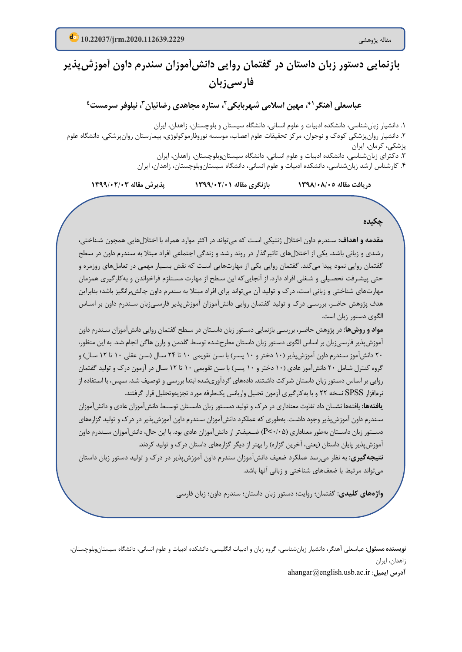# **بازنمایی دستور زبان داستان در گفتمان روایی دانش آموزان سندرم داون آموزش پذیر فارسی زبان**

عباسعلی آهنگر <sup>۶</sup>، مهین اسلامی شهربابکی<sup>۲</sup>، ستاره مجاهدی رضائیان *۳*، نیلوفر سرمست<sup>٤</sup>

.1 دانشیار زبانشناسی، دانشکده ادبیات و علوم انسانی، دانشگاه سیستان و بلوچستان، زاهدان، ایران .2 دانشیار روانپزشکی کودك و نوجوان، مرکز تحقیقات علوم اعصاب، موسسه نوروفارموکولوژي، بیمارستان روانپزشکی، دانشگاه علوم پزشکی، کرمان، ایران .3 دکتراي زبانشناسی، دانشکده ادبیات و علوم انسانی، دانشگاه سیستانو بلوچستان، زاهدان، ایران .4 کارشناس ارشد زبانشناسی، دانشکده ادبیات و علوم انسانی، دانشگاه سیستانوبلوچستان، زاهدان، ایران

**دریافت مقاله /05 1398/08 بازنگري مقاله 1399/02/01 پذیرش مقاله 1399/02/03**

**چکیده**

**مقدمه و اهداف:** سـندرم داون اختلال ژنتیکی اسـت که میتواند در اکثر موارد همراه با اختلال هایی همچون شـناختی، رشـدي و زبانی باشـد. یکی از اختلال هاي تاثیرگذار در روند رشـد و زندگی اجتماعی افراد مبتلا به سـندرم داون در سـطح گفتمان روایی نمود پیدا میکند. گفتمان روایی یکی از مهارتهایی اسـت که نقش بسـیار مهمی در تعاملهاي روزمره و حتی پیشـرفت تحصـیلی و شـغلی افراد دارد. از آنجاییکه این سـطح از مهارت مسـتلزم فراخواندن و بهکارگیري همزمان مهارتهاي شناختی و زبانی است، درك و تولید آن میتواند براي افراد مبتلا به سندرم داون چالشبرانگیز باشد؛ بنابراین هدف پژوهش حاضـر، بررسـی درك و تولید گفتمان روایی دانشآموزان آموزشپذیر فارسـیزبان سـندرم داون بر اسـاس الگوي دستور زبان است.

**م واد و روش ها :** در پژوهش حاضـر، بررسـی بازنمایی دسـتور زبان داسـتان در سـطح گفتمان روایی دانش آموزان سـندرم داون آموزش پذیر فارسـی زبان بر اسـاس الگوي دسـتور زبان داسـتان مطرح شـده توسـط گلدمن و وارن هاگن انجام شـد. به این منظور، 20 دانش آموز سـندرم داون آموزش پذیر ( 10 دختر و 10 پسـر) با سـن تقویمی 10 تا 24 سـال (سـن عقلی 10 تا 12 سـال) و گروه کنترل شـامل 20 دانش آموز عادي ( 10 دختر و 10 پسـر) با سـن تقویمی 10 تا 12 سـال در آزمون درك و تولید گفتمان روایی بر اسـاس دسـتور زبان داسـتان شـرکت داشـتند. داده هاي گردآوري شـده ابتدا بررسـی و توصـیف شـد. سـپس، با اسـتفاده از نرم افزار SPSS نسخه 22 و با به کارگیري آزمون تحلیل واریانس یک طرفه مورد تجزیه و تحلیل قرار گرفتند.

**یافته ها :** یافته ها نشــان داد تفاوت معناداري در درك و تولید دســتور زبان داســتان توســط دانش آموزان عادي و دانش آموزان سـندرم داون آموزش پذیر وجود داشـت. به طوري که عملکرد دانش آموزان سـندرم داون آموزش پذیر در درك و تولید گز ا ره هاي دســتور زبان داســتان بهطور معناداري (P<-1·۵) ضـعیف<code>تر از دانش</mark> آموزان عادي بود. با این حال، دانش آموزان ســندرم داون</code> آموزش پذیر پایان داستان (یعنی، آخرین گزاره) را بهتر از دیگر گزاره هاي داستان درك و تولید کردند.

**نتیجهگیري:** به نظر میرسـد عملکرد ضـعیف دانشآموزان سندرم داون آموزشپذیر در درك و تولید دستور زبان داستان میتواند مرتبط با ضعفهاي شناختی و زبانی آنها باشد.

**واژههاي کلیدي:** گفتمان؛ روایت؛ دستور زبان داستان؛ سندرم داون؛ زبان فارسی

**نویسنده مسئول:** عباسعلی آهنگر، دانشیار زبانشناسی، گروه زبان و ادبیات انگلیسی، دانشکده ادبیات و علوم انسانی، دانشگاه سیستانوبلوچستان، زاهدان، ایران

ahangar@english.usb.ac.ir **:ایمیل آدرس**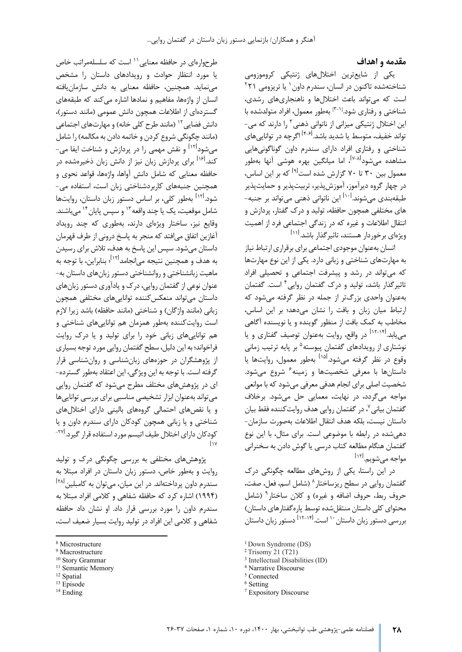#### **مقدمه و اهداف**

یکی از شایع ترین اختلال هاي ژنتیکی کروموزومی شناختهشده تاکنون در انسان، سندرم داون <sup>۱</sup> یا تریزومی ۲۲۱ است که می تواند باعث اختلال ها و ناهنجاري هاي رشدي، شناختی و رفتاری شود.<sup>[۳-۱]</sup> بهطور معمول، افراد متولدشده با این اختلال ژنتیکی میزانی از ناتوانی ذهنی ۱٫<sup>۳</sup> دارند که می تواند خفیف، متوسط یا شدید باشد.<sup>[۴-۶]</sup> اگرچه در توانایی های شناختی و رفتاري افراد داراي سندرم داون گوناگونی هایی مشاهده میشود<sup>[۶۰۸]،</sup> اما میانگین بهره هوشی آنها بهطور معمول بین ۳۰ تا ۷۰ گزارش شده است<sup>[۹]</sup> که بر این اساس، در چهار گروه دیرآموز، آموزش پذیر، تربیت پذیر و حمایت پذیر طبقهبندی میشوند.<sup>[۱۰]</sup> این ناتوانی ذهنی میتواند بر جنبه-ه اي مختلفی همچون حافظه، تولید و درك گفتار، پردازش و انتقال اطلاعات و غیره که در زندگی اجتماعی فرد از اهمیت ویژهای برخوردار هستند، تاثیر گذار باشد.<sup>[۱۱]</sup>

انسان به عنوان موجودي اجتماعی براي برقراري ارتباط نیاز به مهارت هاي شناختی و زبانی دار د. یکی از این نوع مهارت [ها](#page-2-1)  که می تواند در رشد و پیشرفت اجتماعی و تحصیلی افراد تاثیرگذار باشد، تولید و درک گفتمان روایی<sup>۴</sup> است. گفتمان به عنوان واحدي بزرگ تر از جمله در نظر گرفته می شود که ارتباط میان زبان و بافت را نشان می دهد؛ بر این اساس، مخاطب به کمک بافت از منظور گوینده و یا نویسنده آگاهی مییابد.<sup>ا۱۲-۱۴ د</sup>ر واقع، روایت بهعنوان توصیف گفتاری و یا نوشتاری از رویدادهای گفتمان پیوسته<sup>۵</sup> بر پایه ترتیب زمانی وقوع در نظر گرفته میشود.<sup>[۱۱]</sup> بهطور معمول، روایتها یا داستانها با معرفی شخصیتها و زمینه<sup>۶</sup> شروع می شود. شخصیت اصلی براي انجام هدفی معرفی می شود که با موانعی مواجه می گردد، در نهایت، معمایی حل می شود. برخلاف گفتمان بیانی <sup>۷</sup>، در گفتمان روایی هدف روایت کننده فقط بیان داستان نیست، بلکه هدف انتقال اطلاعات به صورت سازمان - دهی شده در رابطه با موضوعی است . براي مثال، با این نوع گفتمان هنگام مطالعه کتاب درسی یا گوش دادن به سخنرانی [ 12] مواجه می شویم .

در این راستا، یکی از روش هاي مطالعه چگونگی درك گفتمانروایی در سطح ریزساختار^ (شامل اسم، فعل، صفت، حروف ربط، حروف اضافه و غیره) و کلان ساختار<sup>۹</sup> (شامل محتواي کل ی داستان منتقل شده توسط پاره گفتارهاي داستان) دستور زبان داستان [ -14 12] است . 10 بررسی دستور زبان داستان

<sup>3</sup> Intellectual Disabilities (ID)

طرحوارهای در حافظه معنایی `` است که سلسلهمراتب خاص یا مورد انتظار حوادث و رویدادهاي داستان را مشخص می نماید. همچنین، حافظه معنایی به دانش سازمان یافته ا نسان از واژه ها، مفاهیم و نمادها اشاره می کند که طبقه هاي گستردهای از اطلاعات همچون دانش عمومی (مانند دستور)، دانشفضایی <sup>۱۲</sup> (مانند طرح کلی خانه) و مهارتهای اجتماعی (مانند چگونگی شروع کردن و خاتمه دادن به مکالمه) را شامل میشود<sup>ا۱۲ </sup>و نقش مهمی را در پردازش و شناخت ایفا می– کند.<sup>[۱۶]</sup> برای پردازش زبان نیز از دانش زبان ذخیرهشده در حافظه معنایی که شامل دانش آواها، واژه ها، قواعد نحوي و همچنین جنبه هاي کاربردشناختی زبان است، استفاده می - به طور کلی، بر اساس دستور زبان داستان، روایت ها [ 12] شود. شاملموقعیت، یک یا چند واقعه<sup>۱۳</sup> و سپس پایان<sup>۱۴</sup> می باشند. وقایع نیز، ساختار ویژهای دارند، بهطوری که چند رویداد آغازین اتفاق می افتد که منجر به پاسخ درونی از طرف قهرمان داستان می شود. سپس این پاسخ به هدف، تلاش براي رسیدن به هدف و همچنین نتیجه می|نجامد<sup>[۱۲]</sup>؛ بنابراین، با توجه به ماهیت زبانشناختی و روانشناختی دستور زبان هاي داستان به - عنوان نوعی از گفتمان روایی، درك و یادآوري دستور زبان هاي داستان می تواند منعکس کننده توانایی هاي مختلفی همچون زبانی (مانند واژگان) و شناختی (مانند حافظه) باشد زیرا لازم است روایت کننده به طور همزمان هم توانایی هاي شناختی و هم توانایی هاي زبانی خود را براي تولید و یا درك روایت فراخواند ؛ به این دلیل، سطح گفتمان روایی مورد توجه بسیاري از پژوهشگران در حوزه هاي زبان شناسی و روان شناسی قرار گرفته است. با توجه به این ویژگی، این اعتقاد به طور گسترده - اي در پژوهش هاي مختلف مطرح می شود که گفتمان روایی می تواند به عنوان ابزار تشخیصی مناسبی براي بررسی توانایی ها و یا نقص هاي احتمالی گروه هاي بالینی داراي اختلال هاي شناختی و یا زبانی همچون کودکان داراي سندرم داون و یا کودکان دارای اختلال طیف اتیسم مورد استفاده قرار گیرد.<sup>۲۷۱</sup>-[17

پژوهش هاي مختلفی به بررسی چگونگی درك و تولید روایت و به طور خاص، دستور زبان داستان در افراد مبتلا به سندرم داون پرداختهاند. در این میان، می توان به کامبلین <sup>[۲۸]</sup> ( 1994) اشاره کرد که حافظه شفاهی و کلامی افراد مبتلا به سندرم د اون را مورد بررسی قرار داد. او نشان داد حافظه شفاهی و کلامی این افراد در تولید روایت بسیار ضعیف است،

<span id="page-2-1"></span><sup>10</sup> Story Grammar

- <span id="page-2-3"></span><sup>12</sup> Spatial
- <span id="page-2-4"></span><sup>13</sup> Episode
- <span id="page-2-6"></span><sup>14</sup> Ending

[<sup>1</sup>](#page-2-1) Down Syndrome (DS)

<sup>2</sup> Trisomy 21 (T21)

<sup>4</sup> Narrative Discourse

<sup>5</sup> Connected

<sup>&</sup>lt;sup>6</sup> Setting

<sup>7</sup> Expository Discourse

<span id="page-2-0"></span><sup>8</sup> Microstructure

<span id="page-2-5"></span><sup>&</sup>lt;sup>9</sup> Macrostructure

<span id="page-2-2"></span><sup>&</sup>lt;sup>11</sup> Semantic Memory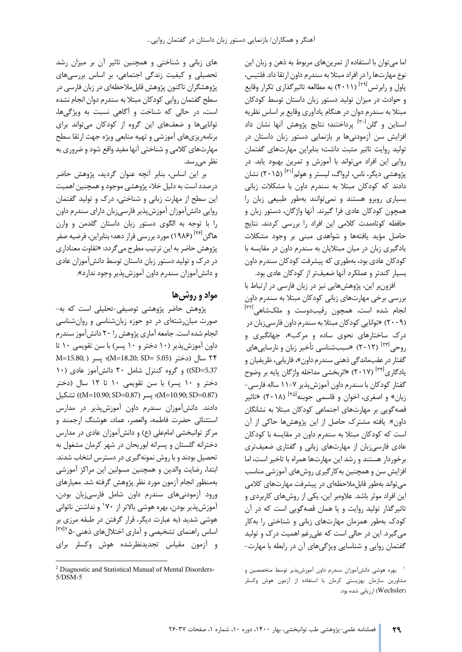اما می توان با استفاده از تمرین هاي مربوط به ذهن و زبان این نوع مهارت ها را در افراد مبتلا به سندرم داون ارتقا داد. فلتیس، پاول و رابرتس<sup>[۲۹]</sup> (۲۰۱۱) به مطالعه تاثیرگذاری تکرار وقایع و حوادث در میزان تولید دستور زبان داستان توسط کودکان مبتلا به سندرم دوان در هنگام یادآوري وقایع بر اساس نظریه استاین و گلن<sup>[۳۰]</sup> پرداختند؛ نتایج پژوهش آنها نشان داد افزایش سن آزمودنی ها بر بازنمایی دستور زبان داستان در تولید روایت تاثیر مثبت داشت؛ بنابراین مهارتهای گفتمان روایی این افراد می تواند با آموزش و تمرین بهبود یابد. در ( 2015) نشان [ 31] پژوهشی دیگر، ناس، لرواگ، لیستر و هولم دادند که کودکان مبتلا به سندرم داون با مشکلات زبانی بسیاري روبرو هستند و نمی توانند به طور طبیعی زبان ر ا همچون کودکان عادي فرا گیرند. آنها واژگان، دستور زبان و حافظه کوتاهمدت کلامی این افراد را بررسی کردند. نتایج حاصل مؤید یافته ها و شواهدي مبنی بر وجود مشکلات یادگیري زبان در میان مبتلایان به سندرم داون در مقایسه با کودکان عادي بود، بهطوري که پيشرفت کودکان سندرم داون بسیار کندتر و عملکرد آنها ضعیف تر از کودکان عادي بود.

افزون بر این، پژوهش هایی نیز در زبان فارسی در ارتباط با بررسی برخی مهارت هاي زبانی کودکان مبتلا به سندرم داون انجام شده است، همچون رقیبدوست و ملکشاهی<sup>[۳۲]</sup> ( 2009) « توانایی کودکان مبتلا به سندرم داون فارسی زبان در درک ساختارهای نحوی ساده و مرکب»، جهانگیری و روحی<sup>۱۳۳۱</sup> (۲۰۱۲) «سببشناسی تأخیر زبان و نارساییهای گفتار در عقب ماندگی ذهنی سندرم داون»، فاریابی، ظریفیان و یادگاری<sup>[۳۴]</sup> (۲۰۱۷) «اثربخشی مداخله واژگان پایه بر وضوح گفتار کودکان با سندرم داون آموزش پذیر ۷–۱۱ ساله فارسی– زبان» و اصغری، اخوان و قاسمی جوبنه<sup>[۳۵]</sup> (۲۰۱۸) «تاثیر قصه گویی بر مهارت هاي اجتماعی کودکان مبتلا به نشانگان داون». یافته مشترك حاصل از این پژوهش ها حاکی از آن است که کودکان مبتلا به سندرم داون در مقایسه با کودکان عادی فارسی زبان از مهارتهای زبانی و گفتاری ضعیفتری برخوردار هستند و رشد این مهارت ها همراه با تاخیر است، اما افزایش سن و همچنین به کارگیري روش هاي آموزشی مناسب می تواند به طور قابل ملاحظه اي در پیشرفت مهارت هاي کلامی این افراد موثر باشد. علاوهبر این، یکی از روش های کاربردی و تاثیرگذار تولید روایت و یا همان قصه گویی است که در آن کودك به طور همزمان مهارت هاي زبانی و شناختی را به کار می گیرد. این در حالی است که علی رغم اهمیت درك و تولید گفتمان روایی و شناسایی ویژگی هاي آن در رابطه با مهارت -

های زبانی و شناختی و همچنین تاثیر آن بر میزان رشد تحصیلی و کیفیت زندگی اجتماعی، بر اساس بررسی هاي پژوهشگران تاکنون پژوهش قابلملاحظهای در زبان فارسی در سطح گفتمان روایی کودکان مبتلا به سندرم دوان انجام نشده است ، در حالی که شناخت و آگاهی نسبت به ویژگی ها، توانایی ها و ضعف هاي این گروه از کودکان می تواند براي برنامه ریزي هاي آموزشی و تهیه منابعی ویژه جهت ارتقا سطح مهارت هاي کلامی و شناختی آنها مفید واقع شود و ضروري به نظر می رسد.

بر این اساس، بنابر آنچه عنوان گردید، پژوهش حاضر درصدد است به دلیل خلاء پژوهشی موجود و همچنین اهمیت این سطح از مهارت زبانی و شناختی، درك و تولید گفتمان روایی دانش آموزان آموزش پذیر فارسی زبان داراي سندرم داون را با توجه به الگوي دستور زبان داستان گلدمن و وارن هاگن <sup>[۳۶]</sup> (۱۹۸۶) مورد بررسی قرار دهد؛ بنابراین، فرضیه صفر پژوهش حاضر به این ترتیب مطرح می گردد: «تفاوت مع ناداري در درك و تولید دستور زبان داستان توسط دانش آموزان عادي و دانش آموزان سندرم داون آموزش پذیر وجود ندارد».

## **مواد و روش ها**

پژوهش حاضر پژوهشی توصیفی - تحلیلی است که به - صورت میان رشته اي در دو حوزه زبان شناسی و روان شناسی انجام شده است. جامعه آماري پژوهش را 20 دانش آموز سندرم داون آموزش پذیر ( 10 دختر و 10 پسر) با سن تقویمی 10 تا 24 سال (دختر ( 5.05 =SD; 18.20=M(؛ پسر ( ;15.80=M 5.37=SD ((و گروه کنترل شامل 20 دانش آموز عادي ( 10 دختر و 10 پسر) با سن تقویمی 10 تا 12 سال (دختر تشکیل)) (M=10.90; SD=0.87)؛ پسر (M=10.90; SD=0.87) ) تشکیل دادند. دانش آموزان سندرم داون آموزش پذیر در مدارس استثنائی حضرت فاطمه، والعصر، عماد، هوشنگ ارجمند و مرکز توانبخشی امام علی (ع) و دانش آموزان عادي در مدارس دخترانه گلستان و پسرانه ابوریحان در شهر کرمان مشغول به تحصیل بودند و با روش نمونه گیری در دسترس انتخاب شدند. ابتدا، رضایت والدین و همچنین مسولین این مراکز آموزشی به منظور انجام آزمون مورد نظر پژوهش گرفته شد . معیارهاي ورود آزمودنی هاي سندرم داون شامل فارسی زبان بودن، آموزش پذیر بودن، بهره هوشی بالاتر از ۱۷۰ و نداشتن ناتوانی هوشی شدید (به عبارت دیگر، قرار گرفتن در طبقه مرزي بر 2[ 37] اساس راهنماي تشخیصی و آماري اختلال هاي ذهنی - 5 و آزمون مقیاس تجدیدنظرشده هوش وکسلر براي

بهره هوشی دانشآموزان سندرم داون آموزشپذیر توسط متخصصین و <sup>۱</sup> مشاورین سازمان بهزیستی کرمان با استفاده از آزمون هوش وکسلر (Wechsler) ارزیابی شده بود.

<sup>2</sup> Diagnostic and Statistical Manual of Mental Disorders-5/DSM-5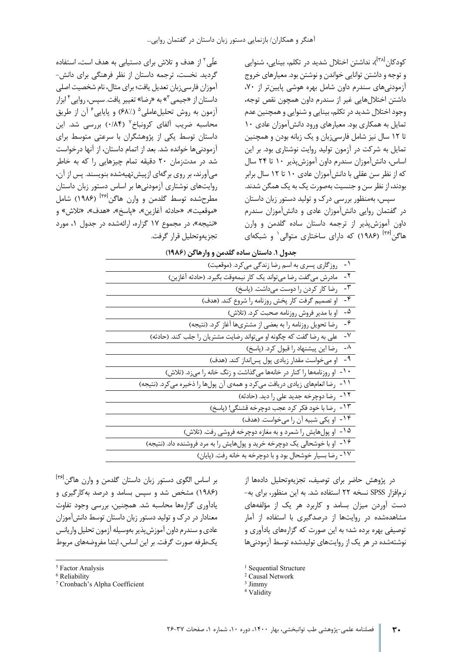کودکان <sup>(۳۸]</sup>)، نداشتن اختلال شدید در تکلم، بینایی، شنوایی و توجه و داشتن توانایی خواندن و نوشتن بود. معیارهاي خروج آز مودنی هاي سندرم داون شامل بهره هوشی پایین تر از ،70 داشتن اختلال هایی غیر از سندرم داون همچون نقص توجه، وجود اختلال شدید در تکلم، بینایی و شنوایی و همچنین عدم تمایل به همکاري بود. معیارهاي ورود دانش آموزان عادي 10 تا ١٢ سال نیز شامل فارسی;بان و یک زبانه بودن و همچنین تمایل به شرکت در آزمون تولید روایت نوشتاري بود. بر این اساس، دانش آموزان سندرم داون آموزش پذیر 10 تا 24 سال که از نظر سن عقلی با دانش آموزان عادي 10 تا 12 سال برابر بودند، از نظر سن و جنسیت بهصورت یک به یک همگن شدند. سپس، به منظور بررسی درك و تولید دستور زبان داستان در گفتمان روایی دانش آموزان عادي و دانش آموزان سندرم داون آموزش پذیر از ترجمه داستان ساده گلدمن و وارن هاگن<sup>[۳۶]</sup> (۱۹۸۶) که دارا[ی](#page-4-0) ساختاری متوالی<sup>۱</sup> و شبکهای

علّی <sup>۲</sup> از هدف و تلاش برای دستیابی به هدف است، استفاده گردید. نخست، ترجمه داستان از نظر فرهنگی برای دانش-آموزان فارسی زبان تعدیل یافت ؛ براي مثال، نام شخصیت اصلی داستاناز «جیمی <sup>۳</sup>[»](#page-4-2) به «رضا» تغییر یافت. سپس، روایی <sup>۴</sup> ابزار آزمون به روش تحلیل عاملی <sup>۵</sup> (۶۸٪) و پایایی <sup>۶</sup> آن از طریق محاسبه ضریب آلفای کرونباخ<sup>۷</sup> (۰/۸۴) بررسی شد. این داستان توسط یکی از پژوهشگران با سرعتی متوسط براي آزمودنی ها خوانده شد. بعد از اتمام داستان، از آنها درخواست شد در مدت زمان 20 دقیقه تمام چیزهایی را که به خاطر می آورند، بر روی بر گهای از پیش تهیهشده بنویسند. پس از آن، روایت هاي نوشتاري آزمودنی ها بر اساس دستور زبان داستان مطرحشده توسط گلدمن و وارن هاگن<sup>(۱۳۶</sup> (۱۹۸۶) شامل «موقعیت»، «حادثه آغازین»، «پاسخ»، «هدف»، «تلاش» و «نتیجه»، در مجموع 17 گزاره، ارائه شده در جدول ،1 مورد تجزیه و تحلیل قرار گرفت.

| جدول ۱. داستان ساده گلدمن و وارهاگن (۱۹۸۶)                                         |
|------------------------------------------------------------------------------------|
| $-1$<br>روزگاري پسري به اسم رضا زندگي مي كرد. (موقعيت)                             |
| -۲<br>مادرش میگفت رضا میتواند یک کار نیمهوقت بگیرد. (حادثه آغازین)                 |
| -٣<br>رضا كار كردن را دوست مى داشت. (پاسخ)                                         |
| ۰۴<br>او تصمیم گرفت کار پخش روزنامه را شروع کند. (هدف)                             |
| $-\Delta$<br>او با مدیر فروش روزنامه صحبت کرد. (تلاش)                              |
| $-\hat{r}$<br>رضا تحویل روزنامه را به بعضی از مشتریها آغاز کرد. (نتیجه)            |
| -V<br>علی به رضا گفت که چگونه او میتواند رضایت مشتریان را جلب کند. (حادثه)         |
| $-\lambda$<br>رضا این پیشنهاد را قبول کرد. (پاسخ)                                  |
| -9<br>او میخواست مقدار زیادی پول پس انداز کند. (هدف)                               |
| ۰ ۱ ـ<br>او روزنامهها را کنار در خانهها میگذاشت و زنگ خانه را میزد. (تلاش)         |
| $-11$<br>رضا انعامهای زیادی دریافت می کرد و همهی آن پولها را ذخیره می کرد. (نتیجه) |
| ۱۲ ـ<br>رضا دوچرخه جدید علی را دید. (حادثه)                                        |
| - ۱۳<br>رضا با خود فكر كرد عجب دوچرخه قشنگي! (پاسخ)                                |
| ۱۴ -<br>او یکی شبیه آن را میخواست. (هدف)                                           |
| ۱۵ -<br>او پولهایش را شمرد و به مغازه دوچرخه فروشی رفت. (تلاش)                     |
| -16<br>او با خوشحالي يک دوچرخه خريد و پولهايش را به مرد فروشنده داد. (نتيجه)       |
| ۱۷<br>رضا بسيار خوشحال بود و با دوچرخه به خانه رفت. (پايان)                        |
|                                                                                    |

بر اساس الگوی دستور زبان داستان گلدمن و وارن هاگن<sup>|۱۳۶</sup> ( 1986) مشخص شد و سپس بسامد و درصد به کارگیري و یادآوري گزاره ها محاسبه شد. همچنین، بررسی وجود تفاوت معنادار در درك و تولید دستور زبان داستان توسط دانش آموزان عادي و سندرم داون آموزش پذیر به وسیله آز مون تحلیل واریانس یک طرفه صورت گرفت. بر این اساس، ابتدا مفروضه هاي مربوط

<span id="page-4-3"></span><span id="page-4-2"></span><sup>7</sup> Cronbach's Alpha Coefficient

در پژوهش حاضر برای توصیف، تجزیهوتحلیل دادهها از نرم افزار SPSS نسخه 22 استفاده شد. به این منظور، براي به - د ست آوردن میزان بسامد و کاربرد هر یک از مؤلفه هاي مشاهده شده در روایت ها از درصدگیري با استفاده از آمار توصیفی بهره برده شد؛ به این صورت که گزارههای یادآوری و نوشته شده در هر یک از روایت هاي تولیدشده توسط آزمودنی ها

<sup>5</sup> Factor Analysis

<span id="page-4-1"></span><span id="page-4-0"></span><sup>6</sup> Reliability

<sup>&</sup>lt;sup>1</sup> Sequential Structure

<sup>2</sup> Causal Network

<sup>3</sup> Jimmy

<sup>&</sup>lt;sup>4</sup> Validity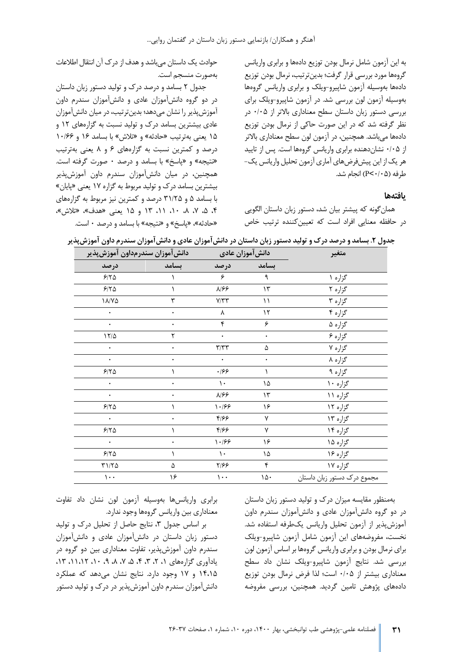به این آزمون شامل نرمال بودن توزیع داده ها و برابري واریانس گروهها مورد بررسی قرار گرفت؛ بدین ترتیب، نرمال بودن توزیع دادهها بهوسیله آزمون شاپیرو-ویلک و برابری واریانس گروهها به و سیله آزمون لون بررسی شد. در آزمون شاپیرو - ویلک براي بررسی دستور زبان داستان سطح معناداري بالاتر از /05 0 در نظر گرفته شد که در این صورت حاکی از نرمال بودن توزیع دادهها می باشد. همچنین، در آزمون لون سطح معناداری بالاتر از ۰/۰۵ نشان دهنده برابری واریانس گروهها است. پس از تایید هر یک از این پیش فرض هاي آماري آزمون تحلیل واریانس یک - طرفه ( /05 0>P (انجام شد.

#### **یافته ها**

همان گونه که پیشتر بیان شد، دستور زبان داستان الگویی در حافظه معنایی افراد است که تعیین کننده ترتیب خاص

حوادث یک داستان می باشد و هدف از درك آن انتقال اطلاعات به صورت منسجم است.

جدول 2 بسامد و درصد درك و تولید دستور زبان داستان در دو گروه دانش آموزان عادي و دانش آموزان سندرم داون آموزش پذیر را نشان می دهد ؛ بدین ترتیب، در میان دانش آموزان عادي بیشترین بسامد درك و تولید نسبت به گزاره هاي 12 و 15 یعنی به ترتیب «حادثه» و «تلاش» با بسامد 16 و /66 10 درصد و کمترین نسبت به گزاره هاي 6 و 8 یعنی به ترتیب «نتیجه» و «پاسخ» با بسامد و درصد 0 صورت گرفته است. همچنین، در میان دانش آموزان سندرم داون آموزش پذیر بیشترین بسامد درك و تولید مربوط به گزاره 17 یعنی «پا یان» با بسامد 5 و /25 31 درصد و کمترین نیز مربوط به گزاره هاي ،4 ،5 ،7 ،8 ،10 ،11 13 و 15 یعنی «هدف»، «تلاش»، «حادثه»، «پاسخ» و «نتیجه» با بسامد و درصد ٠ است.

| متغير                       | دانش آموزان عادى                |                         | دانش آموزان سندرمداون آموزش پذیر |               |
|-----------------------------|---------------------------------|-------------------------|----------------------------------|---------------|
|                             | بسامد                           | درصد                    | بسامد                            | درصد          |
| گزاره ۱                     | ٩                               | ۶                       |                                  | $5/70$        |
| گزاره ۲                     | $\mathcal{N}$                   | ۸۱۶۶                    |                                  | $5/7\Delta$   |
| گزاره ۳                     | ۱۱                              | $V/\Upsilon\Upsilon$    | ٣                                | $1 A/Y\Delta$ |
| گزاره ۴                     | $\mathcal{N}$                   | λ                       | ۰                                | $\bullet$     |
| گزاره ۵                     | ۶                               | ۴                       | ۰                                | $\bullet$     |
| گزاره ۶                     | ۰                               | $\bullet$               | ٢                                | $17/\Delta$   |
| گزاره ۷                     | ۵                               | $\mathbf{r}/\mathbf{r}$ |                                  | ٠             |
| گزاره ۸                     |                                 | ۰                       |                                  | ۰             |
| گزاره ۹                     |                                 | .199                    |                                  | 5/70          |
| گزاره ۱۰                    | ١۵                              | $\mathcal{L}$           |                                  | ۰             |
| گزاره ۱۱                    | $\mathcal{N}$                   | ۸۱۶۶                    | ٠                                | ۰             |
| گزاره ۱۲                    | ۱۶                              | 1.199                   |                                  | $5/70$        |
| گزاره ۱۳                    | ٧                               | ۴۱۶۶                    | ۰                                | $\bullet$     |
| گزاره ۱۴                    | ٧                               | ۴۱۶۶                    |                                  | $5/70$        |
| گزاره ۱۵                    | ۱۶                              | 1.199                   |                                  | $\bullet$     |
| گزاره ۱۶                    | ١۵                              | ١.                      |                                  | $5/70$        |
| گزاره ۱۷                    | ۴                               | ۲۱۶۶                    | ۵                                | $\tau$ 1/70   |
| مجموع درك دستور زبان داستان | $\mathcal{N} \circ \mathcal{N}$ | ۱۰۰                     | ۱۶                               | $\cdots$      |

**جدول .2 بسامد و درصد درك و تولید دستور زبان داستان در دانش آموزان عادي و دانش آموزان سندرم داون آموزش پذیر** 

به منظور مقایسه میزان درك و تولید دستور زبان داستان در دو گروه دانش آموزان عادي و دانش آموزان سندرم داون آموزش پذیر از آزمون تحلیل واریانس یک طرفه استفاده شد. نخست، مفروضه هاي این آزمون شامل آزمون شاپیرو - ویلک براي نرمال بودن و برابري واریانس گروه ها بر اساس آزمون لون بررسی شد. نتایج آزمون شاپیرو - ویلک نشان داد سطح معناداري بیشتر از ۰/۰۵ است؛ لذا فرض نرمال بودن توزیع دادههای پژوهش تامین گردید. همچنین، بررسی مفروضه

برابري واریانس ها به وسیله آزمون لون نشان داد تفاوت معناداري بين واريانس گروهها وجود ندارد.

بر اساس جدول ۳، نتایج حاصل از تحلیل درک و تولید دستور زبان داستان در دانش آموزان عادي و دانش آموزان سندرم داون آموزش پذیر، تفاوت معناداري بین دو گروه در یادآوري گزارههاي ١، ٢، ٣، ٣، ۵، ٧، ٨. ٩، ١٠، ١١،١٢، ١٣. 14،15 و 17 وجود دارد. نتایج نشان می دهد که عملکرد دانش آموزان سندرم داون آموزش پذیر در درك و تولید دستور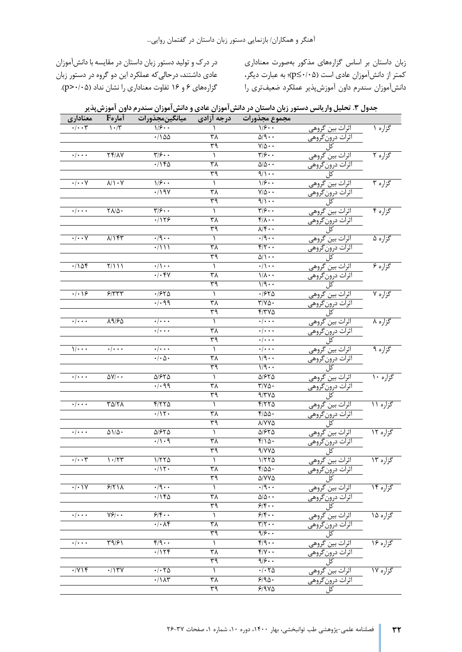زبان داستان بر اساس گزاره هاي مذکور به صورت معناداري کمتر از دانش آموزان عادي است ( /05 0≥p (؛ به عبارت دیگر، دانش آموزان سندرم داون آموزش پذیر عملکرد ضعیف تري را

در درك و تولید دستور زبان داستان در مقایسه با دانش آموزان عادي داشتند ، درحالی که عملکرد این دو گروه در دستور زبان گزاره هاي 6 و 16 تفاوت معناداري را نشان نداد ( /05 0<p(.

| جدول ۳. تحلیل واریانس دستور زبان داستان در دانش آموزان عادی و دانش آموزان سندرم داون آموزش پذیر |  |  |  |
|-------------------------------------------------------------------------------------------------|--|--|--|
|-------------------------------------------------------------------------------------------------|--|--|--|

|                              | آمارهF                              |                                             | درجه آزادی        | مجموع مجذورات                                    |                                                                                                                                                                                           |          |
|------------------------------|-------------------------------------|---------------------------------------------|-------------------|--------------------------------------------------|-------------------------------------------------------------------------------------------------------------------------------------------------------------------------------------------|----------|
| معنادا <u>ری</u><br>۰/۰۰۳    | $\sqrt{\cdot/5}$                    | میانگینمجذورات<br>۱/۶۰۰                     |                   | $\sqrt{\frac{2}{2} \cdot \cdot \cdot}$           | اثرات بين گروه <u>ي</u><br>اثرات درونگروه <u>ي</u><br>كل<br>كل<br>اثرات درونگروهي<br>اثرات درونگروهي<br>اثرات درونگروهي<br>اثرات درونگروهي<br>اثرات در                                    | گزاره ۱  |
|                              |                                     | $\cdot$ /100                                | $\overline{\tau}$ | $\Delta$ /9                                      |                                                                                                                                                                                           |          |
|                              |                                     |                                             | ٣٩                | $V/\Delta \cdot \cdot$                           |                                                                                                                                                                                           |          |
| $\cdot/\cdot\cdot\cdot$      | $Yf/\lambda Y$                      | $\overline{\Upsilon/\varsigma\cdots}$       |                   | $\overline{\Upsilon/\mathcal{F}\cdot\cdot}$      |                                                                                                                                                                                           | گزاره ۲  |
|                              |                                     | .716                                        | ٣٨                | $\Delta/\Delta \cdot \cdot$                      |                                                                                                                                                                                           |          |
|                              |                                     |                                             | ٣٩                | $9/1$ .                                          |                                                                                                                                                                                           |          |
| $\cdot/\cdot\cdot$ Y         | $\lambda/\lambda$ . Y               | $\sqrt{\frac{2}{2} \cdot \cdot \cdot}$      | $\lambda$         | $\sqrt{2}$ .                                     |                                                                                                                                                                                           | گزاره ۳  |
|                              |                                     | $\cdot$ /19 $\gamma$                        | ٣٨                | $V/\Delta \cdot \cdot$                           |                                                                                                                                                                                           |          |
|                              |                                     |                                             | ٣٩                | $9/1$ .                                          |                                                                                                                                                                                           |          |
| $\cdot/\cdot\cdot\cdot$      | $\sqrt{\Lambda/\Delta}$             | $\overline{\Upsilon/\mathcal{F}}\cdot\cdot$ | ١                 | $\overline{\mathbf{y}}$                          |                                                                                                                                                                                           | گزاره ۴  |
|                              |                                     | .1159                                       | $\overline{r}$    | $\overline{f/\lambda\cdot\cdot}$                 |                                                                                                                                                                                           |          |
|                              |                                     |                                             | ٣٩                | $\sqrt{2}$ .                                     |                                                                                                                                                                                           |          |
| $\cdot/\cdot\cdot$ Y         | N157                                | $\cdot$ /9 $\cdot$                          | $\lambda$         | $\cdot$ /9 $\cdot$ .                             | سرت بین مرودی<br>اثرات درونگروهی<br>اثرات بین گروهی<br>اثرات درونگروهی<br>اثرات درونگروهی                                                                                                 | گزاره ۵  |
|                              |                                     | $\cdot/111$                                 | ٣٨                | $f/\zeta \cdot \cdot$                            |                                                                                                                                                                                           |          |
|                              |                                     |                                             | ٣٩                | $\Delta/\sqrt{2}$                                |                                                                                                                                                                                           |          |
| .108                         | Y/111                               | $\cdot/\cdot$ .                             | $\lambda$         | $\cdot/\cdot\cdot$                               |                                                                                                                                                                                           | گزاره ۶  |
|                              |                                     | $\cdot/\cdot$ ۴۷                            | $\overline{\tau}$ | $1/\lambda \cdot \cdot$                          | اثرات بین گروهی<br>اثرات درونگروهی<br>کل                                                                                                                                                  |          |
|                              |                                     |                                             | ٣٩                | $1/9 \cdot \cdot$                                |                                                                                                                                                                                           |          |
| $\cdot$   $\cdot$   $\circ$  | 5/777                               | .7570                                       | $\lambda$         | .7570                                            |                                                                                                                                                                                           | گزاره ۷  |
|                              |                                     | $\cdot/\cdot$ 99                            | $\frac{1}{2}$     | $\overline{\Upsilon/\Upsilon\Delta}$             | اثرات بین گروهی<br>اثرات درونگروهی<br>کل                                                                                                                                                  |          |
|                              |                                     |                                             | $\overline{\tau}$ | $Y/YV\Delta$                                     |                                                                                                                                                                                           |          |
| $\cdot/\cdot\cdot\cdot$      | 19/80                               | $\cdot/\cdot\cdot\cdot$                     | $\lambda$         | $\cdot/\cdot\cdot\cdot$                          | ل<br>اثرات بين گروهي<br>اثرات درونگروهي<br>رافيلي                                                                                                                                         | گزاره ۸  |
|                              |                                     | $\cdot/\cdot\cdot\cdot$                     | $\frac{1}{2}$     | $\cdot/\cdot\cdot\cdot$                          |                                                                                                                                                                                           |          |
|                              |                                     |                                             | ٣٩                | $\cdot/\cdot\cdot\cdot$                          |                                                                                                                                                                                           |          |
| $1/\cdot \cdot \cdot$        | $\cdot/\cdot\cdot\cdot$             | $\cdot/\cdot\cdot\cdot$                     | $\lambda$         | $\cdot/\cdot\cdot\cdot$                          |                                                                                                                                                                                           | گزاره ۹  |
|                              |                                     | $\cdot/\cdot \Delta \cdot$                  | $\frac{1}{2}$     | $1/9 \cdot \cdot$                                |                                                                                                                                                                                           |          |
|                              |                                     |                                             | ٣٩                | $1/9 \cdot \cdot$                                | اثرات بین گروهی<br>اثرات درونگروهی<br>کل                                                                                                                                                  |          |
| $\cdot/\cdot\cdot\cdot$      | $\Delta V/\cdot \cdot$              | $\Delta$ /۶۲ $\Delta$                       | $\lambda$         | $\Delta$ / $55$                                  | ل<br>اثرات بين گروهي<br>اثرات درونگروهي<br>کل                                                                                                                                             | گزاره ۱۰ |
|                              |                                     | $\cdot$ / $\cdot$ 99                        | $\frac{1}{2}$     | $\overline{\Upsilon}/\Upsilon\Delta$ .           |                                                                                                                                                                                           |          |
|                              |                                     |                                             | $\overline{\tau}$ | 9/770                                            |                                                                                                                                                                                           |          |
| $\cdot/\cdot\cdot\cdot$      | $T\Delta/T\Lambda$                  | 4/770                                       | ١                 | F/570                                            |                                                                                                                                                                                           | گزاره ۱۱ |
|                              |                                     | $\cdot/11$ .                                | ٣٨                | $f/\Delta\Delta$ .                               | اثرات بین گروهی<br>اثرات درونگروهی<br>کل                                                                                                                                                  |          |
|                              |                                     |                                             | ٣٩                | <b>A/YYA</b>                                     |                                                                                                                                                                                           |          |
| $\cdot/\cdot\cdot\cdot$      | $\Delta$ 1/ $\Delta$ .              | $\Delta$ /۶۲ $\Delta$                       | $\lambda$         | $\Delta$ /۶۲ $\Delta$                            |                                                                                                                                                                                           |          |
|                              |                                     | $\cdot/\cdot$ 9                             | $\overline{r}$    | $f/\Omega$ .                                     |                                                                                                                                                                                           | گزاره ۱۲ |
|                              |                                     |                                             | ٣٩                |                                                  | <u>ں</u><br>اثرات بین گروهی<br>اثرات درونگروهی<br>کل                                                                                                                                      |          |
| $\cdot/\cdot\cdot\mathsf{y}$ |                                     | 1/570                                       |                   | $9/YV\Delta$                                     |                                                                                                                                                                                           |          |
|                              | 1.77                                |                                             | ١                 | 1/570                                            | اثرات بین گروه <i>ی</i>                                                                                                                                                                   | گزاره ۱۳ |
|                              |                                     | $\cdot/11$ .                                | $\frac{1}{2}$     | $f/\Delta\Delta$ .                               | اثرات بين كروهي<br>اثرات درونگروهي<br>كل<br>كل كل كل<br>اثرات درونگروهي<br>اثرات بين گروهي<br>اثرات درونگروهي<br>اثرات درونگروهي<br>اثرات درونگروهي<br>اثرات درونگروهي<br>اثرات درونگروهي |          |
|                              |                                     |                                             | ٣٩                | $\Delta/$ YV $\Delta$                            |                                                                                                                                                                                           |          |
| $\cdot/\cdot$ ) $\sqrt{}$    | 5/71                                | $\cdot$ /9 $\cdot$                          | 1                 | $\cdot \mid \mathcal{A} \cdot \cdot$             |                                                                                                                                                                                           | گزاره ۱۴ |
|                              |                                     | .716                                        | $\mu$             | $\Delta/\Delta \cdot \cdot$                      |                                                                                                                                                                                           |          |
|                              |                                     |                                             | ٣٩                | 9/8                                              |                                                                                                                                                                                           |          |
| . /                          | $\overline{Y}$ / $\cdot$            | 5/5                                         | ١                 | 9/8                                              |                                                                                                                                                                                           | گزاره ۱۵ |
|                              |                                     | $\cdot/\cdot \wedge f$                      | $\overline{r}$    | $\overline{\Upsilon/\Upsilon\cdot\cdot}$         |                                                                                                                                                                                           |          |
|                              |                                     |                                             | ٣٩                | $\overline{\mathfrak{q}/\mathfrak{p}\cdot\cdot}$ |                                                                                                                                                                                           |          |
| . /                          | $\overline{\Upsilon^q/\mathcal{F}}$ | $\sqrt{9.1}$                                | $\lambda$         | $f/9 \cdot \cdot$                                |                                                                                                                                                                                           | گزاره ۱۶ |
|                              |                                     | .1114                                       | $\overline{r}$    | $f/\gamma \cdot \cdot$                           |                                                                                                                                                                                           |          |
|                              |                                     |                                             | ٣٩                | $\sqrt{\frac{2}{3}}$ .                           |                                                                                                                                                                                           |          |
| $\cdot$ / $\vee$ ) $\star$   | $\cdot$ /1۳Y                        | $\cdot$ $\cdot$ $\tau$ $\Delta$             | ١                 | $\cdot$ $\cdot$ $\tau$ $\Delta$                  |                                                                                                                                                                                           | گزاره ۱۷ |
|                              |                                     | $\cdot/\lambda\tau$                         | ٣٨                | 5190.                                            |                                                                                                                                                                                           |          |
|                              |                                     |                                             | ٣٩                | $5/9V\Delta$                                     |                                                                                                                                                                                           |          |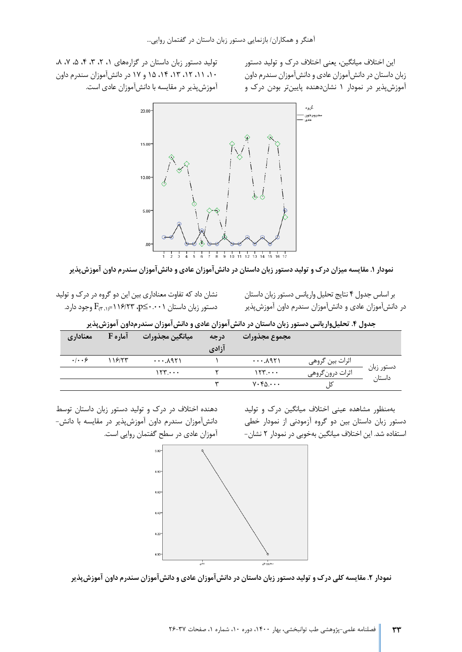این اختلاف میانگین، یعنی اختلاف درك و تولید دستور زبان داستان در دانش آموزان عادي و دانش آموزان سندرم داون آموزش پذیر در نمودار 1 نشان دهنده پایین تر بودن درك و

تولید دستور زبان داستان در گزارههای ۰٫ ،۲ ،۳ ،۴ ،۵ ،۷ ،۸ ،10 ،11 ،12 ،13 ،14 15 و 17 در دانش آموزان سندرم داون آموزش پذیر در مقایسه با دانش آموزان عادي است.



**نمودار .1 مقایسه میزان درك و تولید دستور زبان داستان در دانش آموزان عادي و دانش آموزان سندرم داون آموزش پذیر** 

نشان داد که تفاوت معناداري بین این دو گروه در درك و تولید دستور زبان داستان0.001≥p، /23 116 ) =،1 3 (F وجود دارد.

بر اساس جدول 4 نتایج تحلیل واریانس دستور زبان داستان در دانش آموزان عادي و دانش آموزان سندرم داون آموزش پذیر

**جدول .4 تحلیل واریانس دستور زبان داستان در دانش آموزان عادي و دانش آموزان سندرم داون آموزش پذیر** 

| معناداري                        | آماره F | ميانگين مجذورات          | درجه  | مجموع مجذورات             |                  |                      |
|---------------------------------|---------|--------------------------|-------|---------------------------|------------------|----------------------|
|                                 |         |                          | آزادي |                           |                  |                      |
| $\cdot$ $\cdot$ $\cdot$ $\cdot$ | ۱۱۶/۲۳  | $\cdots$ . $\lambda$ 951 |       | $\cdots$ . $\lambda$ 951  | اثرات بين گروهي  |                      |
|                                 |         | 155                      |       | 155                       | اثرات درون گروهي | دستور زبان<br>داستان |
|                                 |         |                          | س     | $V \cdot f \Delta \cdots$ | دا               |                      |

به منظور مشاهده عینی اختلاف میانگین درك و تولید دستور زبان داستانبین دو گروه آزمودنی از نمودار خطی استفاده شد. این اختلاف میانگین به خوبی در نمودار 2 نشان -

دهنده اختلاف در درك و تولید دستور زبان داستان توسط دانش آموزان سندرم داون آموزش پذیر در مقایسه با دانش - آموزان عادي در سطح گفتمان روایی است.



**نمودار .2 مقایسه کلی درك و تولید دستور زبان داستان در دانش آموزان عادي و دانش آموزان سندرم داون آموزش پذیر**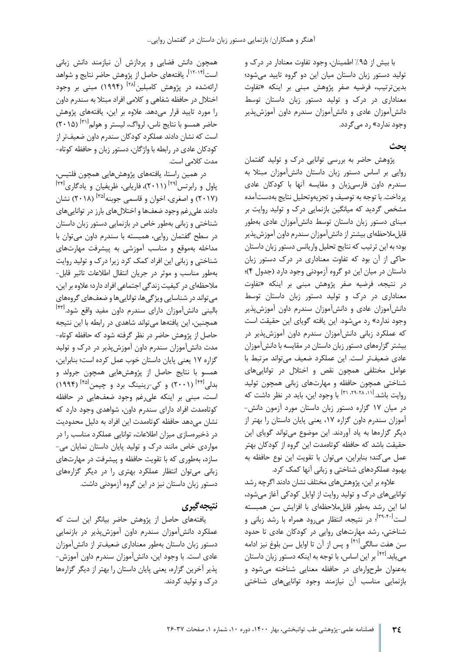با بیش از %95 اطمینان، وجود تفاوت معنادار در درك و تولید دستور زبان داستان میان این دو گروه تایید می شود ؛ بدین ترتیب، فرضیه صفر پژوهش مبنی بر اینکه «تفاوت معناداري در درك و تولید دستور زبان داستان توسط دانش آموزان عادي و دانش آموزان سندرم داون آموزش پذیر وجود ندارد» رد می گردد.

### **بحث**

پژوهش حاضر به بررسی توانایی درک و تولید گفتمان روایی بر اساس دستور زبان داستان دانش آموزان مبتلا به سندرم داون فارسی زبان و مقایسه آنها با کودکان عادي پرداخت. با توجه به توصیف و تجزیه وتحلیل نتایج به دست آمده مشخص گردید که میانگین بازنمایی درك و تولید روایت بر مبناي دستور زبان داستان توسط دانش آموزان عادي به طور قابل ملاحظهای بیشتر از دانشآموزان سندرم داون آموزش پذیر بود ؛ به این ترتیب که نتایج تحلیل واریانس دستور زبان داستان حاکی از آن بود که تفاوت معناداري در درك دستور زبان داستان در میان این دو گروه آزمودنی وجود دارد (جدول 4) ؛ در نتیجه، فرضیه صفر پژوهش مبنی بر اینکه «تفاوت معناداري در درك و تولید دستور زبان داستان توسط دانش آموزان عادي و دانش آموزان سندرم داون آموزش پذیر وجود ندارد» رد می شود. این یافته گویاي این حقیقت است که عملکرد زبانی دانش آموزان سندرم داون آموزش پذیر در بیشتر گزاره هاي دستور زبان داستان در مقایسه با دانش آموزان عادي ضعیف تر است. این عملکرد ضعیف می تواند مرتبط با عوامل مختلفی همچون نقص و اختلال در توانایی هاي شناختی همچون حافظه و مهارت هاي زبانی همچون تولید روایت باشد.<sup>[۲۱٬۲۹</sup>-۲۱٬۲۹ با وجود این، باید در نظر داشت که در میان 17 گزاره دستور زبان داستان مورد آزمون دانش - آ موزان سندرم داون گزاره ،17 یعنی پایان داستان را بهتر از دیگر گزارهها به یاد آوردند. این موضوع می تواند گویای این حقیقت باشد که حافظه کوتاممدت این گروه از کودکان بهتر عمل می کند؛ بنابراین، می توان با تقویت این نوع حافظه به بهبود عملکردهاي شناختی و زبانی آنها کمک کرد.

علاوه بر این، پژوهش هاي مختلف نشان دادند اگرچه رشد توانایی هاي درك و تولید روایت از اوایل کودکی آغاز می شود، اما این رشد به طور قابل ملاحظهای با افزایش سن همبسته است<sup>[۳۹-۴۰]</sup>؛ در نتیجه، انتظار می رود همراه با رشد زبانی و شناختی، رشد مهارت هاي روایی در کودکان عادي تا حدود سن هفت سالگی<sup>۴۱۱</sup> و پس از آن تا اوایل سن بلوغ نیز ادامه مییابد.<sup>۱۴۲۱</sup> بر این اساس، با توجه به اینکه دستور زبان داستان به عنوان طرح واره اي در حافظه معنایی شناخته می شود و بازنمایی مناسب آن نیازمند وجود توانایی هاي شناختی

همچون دانش فضایی و پردازش آن نیازمند دانش زبانی است<sup>[۱۲</sup>-۱<sup>۲]</sup>، یافتههای حاصل از پژوهش حاضر نتایج و شواهد ارائهشده در پژوهش کامبلین<sup>۲۸]</sup> (۱۹۹۴) مبنی بر وجود اختلال در حافظه شفاهی و کلامی افراد مبتلا به سندرم داون را مورد تایید قرار می دهد. علاوه بر این، یافته هاي پژوهش حاضر همسو با نتایج ناس، لرواگ، لیستر و هولم<sup>۲۱۱]</sup> (۲۰۱۵) است که نشان دادند عملکرد کودکان سندرم داون ضعیف تر از کودکان عادي در رابطه با واژگان، دستور زبان و حافظه کوتاه - مدت کلامی است.

در همین راستا، یافتههای پژوهش هایی همچون فلتیس، یاول و رابرتس<sup>[۲۹]</sup> (۲۰۱۱)، فاریابی، ظریفیان و یادگاری<sup>[۳۴]</sup> (۲۰۱۷) و اصغری، اخوان و قاسمی جوبنه<sup>[۳۵]</sup> (۲۰۱۸) نشان دادند علی رغم وجود ضعف ها و اختلال هاي بارز در توانایی هاي شناختی و زبانی به طور خاص در بازنمایی دستور ز بان داستان در سطح گفتمان روایی، همبسته با سندرم داون می توان با مداخله به موقع و مناسب آموزشی به پیشرفت مهارت هاي شناختی و زبانی این افراد کمک کرد زیرا درك و تولید روایت به طور مناسب و موثر در جریان انتقال اطلاعات تاثیر قابل - ملاحظهای در کیفیت زندگی اجتماعی افراد دارد؛ علاوه بر این، می تواند در شناسایی ویژگی ها، توانایی ها و ضعف هاي گروه ها ي [ 43] بالینی دانش آموزان داراي سندرم داون مفید واقع شود . همچنین، این یافته ها می تواند شاهدي در رابطه با این نتیجه حاصل از پژوهش حاضر در نظر گرفته شود که حافظه کوتاه - مدت دانش آموزان سندرم داون آموزش پذیر در درك و تولید گزاره 17 یعنی پایان داستان خوب عمل کرده است ؛ بنابراین، همسو با نتایج حاصل از پژوهش هایی همچون جرولد و بدل<sub>ی</sub> <sup>[۴۴]</sup> (۲۰۰۱) و ک<sub>ی</sub>-رینینگ برد و چپمن<sup>[۴۵]</sup> (۱۹۹۴) است، مبنی بر اینکه علی رغم وجود ضعف هایی در حافظه کوتاهمدت افراد داراي سندرم داون، شواهدي وجود دارد که نشان میدهد حافظه کوتاهمدت این افراد به دلیل محدودیت در ذخیره سازي میزان اطلاعات، توانایی عملکرد مناسب را در مواردي خاص مانند درك و تولید پایان داستان نمایان می - سازد ، به طوري که با تقویت حافظه و پیشرفت در مهارت هاي زبانی می توان انتظار عملکرد بهتري را در دیگر گزاره هاي دستور زبان داستان نیز در این گروه آزمودنی داشت.

## **نتیجه گیري**

یافته هاي حاصل از پژوهش حاضر بیانگر این است که عملکرد دانش آموزان سندرم داون آموزش پذیر در بازنمایی دستور زبان داستان به طور معن اداري ضعیف تر از دانش آموزان عادي است. با وجود این، دانش آموزان سندرم داون آموزش - پذیر آخرین گزاره، یعنی پایان داستان را بهتر از دیگر گزاره ها درك و تولید کردند.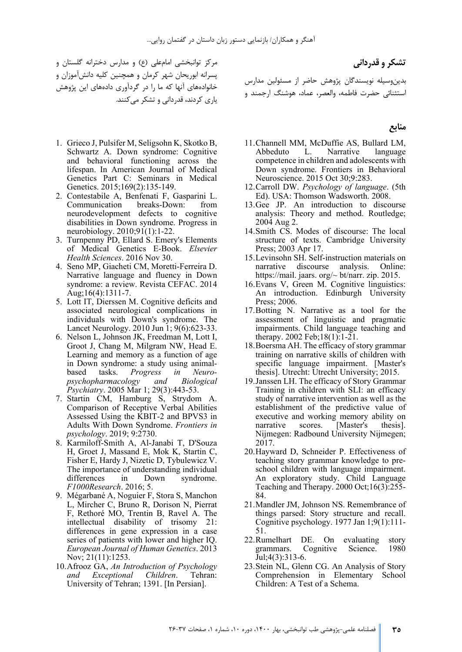مرکز توانبخشی امام علی (ع) و مدارس دخترانه گلستان و پسرانه ابوریحان شهر کرمان و همچنین کلیه دانش آموزان و .<br>خانوادههاي آنها که ما را در گردآوري دادههاي این پژوهش یاري کردند، قدردانی و تشکر می کنند.

- 1. Grieco J, Pulsifer M, Seligsohn K, Skotko B, Schwartz A. Down syndrome: Cognitive and behavioral functioning across the lifespan. In American Journal of Medical Genetics Part C: Seminars in Medical Genetics. 2015;169(2):135-149.
- 2. Contestabile A, Benfenati F, Gasparini L. Communication breaks-Down: from neurodevelopment defects to cognitive disabilities in Down syndrome. Progress in neurobiology. 2010;91(1):1-22.
- 3. Turnpenny PD, Ellard S. Emery's Elements of Medical Genetics E-Book. *Elsevier Health Sciences*. 2016 Nov 30.
- 4. Seno MP, Giacheti CM, Moretti-Ferreira D. Narrative language and fluency in Down syndrome: a review. Revista CEFAC. 2014 Aug;16(4):1311-7.
- 5. Lott IT, Dierssen M. Cognitive deficits and associated neurological complications in individuals with Down's syndrome. The Lancet Neurology. 2010 Jun 1; 9(6):623-33.
- 6. Nelson L, Johnson JK, Freedman M, Lott I, Groot J, Chang M, Milgram NW, Head E. Learning and memory as a function of age in Down syndrome: a study using animalbased tasks. *Progress in Neuropsychopharmacology and Biological Psychiatry*. 2005 Mar 1; 29(3):443-53.
- 7. Startin CM, Hamburg S, Strydom A. Comparison of Receptive Verbal Abilities Assessed Using the KBIT-2 and BPVS3 in Adults With Down Syndrome. *Frontiers in psychology*. 2019; 9:2730.
- 8. Karmiloff-Smith A, Al-Janabi T, D'Souza H, Groet J, Massand E, Mok K, Startin C, Fisher E, Hardy J, Nizetic D, Tybulewicz V. The importance of understanding individual differences in Down syndrome. *F1000Research*. 2016; 5.
- 9. Mégarbané A, Noguier F, Stora S, Manchon L, Mircher C, Bruno R, Dorison N, Pierrat F, Rethoré MO, Trentin B, Ravel A. The intellectual disability of trisomy 21: differences in gene expression in a case series of patients with lower and higher IQ. *European Journal of Human Genetics*. 2013 Nov; 21(11):1253.
- 10.Afrooz GA, *An Introduction of Psychology and Exceptional Children*. Tehran: University of Tehran; 1391. [In Persian].

**تشکر و قدردانی**  بدین وسیله نویسندگان پژوهش حاضر از مسئولین مدارس استثنائی حضرت فاطمه، والعصر، عم اد، هوشنگ ارجمند و

#### **منابع**

- 11.Channell MM, McDuffie AS, Bullard LM, Abbeduto L. Narrative language competence in children and adolescents with Down syndrome. Frontiers in Behavioral Neuroscience. 2015 Oct 30;9:283.
- 12.Carroll DW. *Psychology of language*. (5th Ed). USA: Thomson Wadsworth. 2008.
- 13.Gee JP. An introduction to discourse analysis: Theory and method. Routledge; 2004 Aug 2.
- 14.Smith CS. Modes of discourse: The local structure of texts. Cambridge University Press; 2003 Apr 17.
- 15.Levinsohn SH. Self-instruction materials on narrative discourse analysis. Online: https://mail. jaars. org/~ bt/narr. zip. 2015.
- 16.Evans V, Green M. Cognitive linguistics: An introduction. Edinburgh University Press; 2006.
- 17.Botting N. Narrative as a tool for the assessment of linguistic and pragmatic impairments. Child language teaching and therapy. 2002 Feb;18(1):1-21.
- 18.Boersma AH. The efficacy of story grammar training on narrative skills of children with specific language impairment. [Master's thesis]. Utrecht: Utrecht University; 2015.
- 19.Janssen LH. The efficacy of Story Grammar Training in children with SLI: an efficacy study of narrative intervention as well as the establishment of the predictive value of executive and working memory ability on narrative scores. [Master's thesis]. Nijmegen: Radbound University Nijmegen; 2017.
- 20.Hayward D, Schneider P. Effectiveness of teaching story grammar knowledge to preschool children with language impairment. An exploratory study. Child Language Teaching and Therapy. 2000 Oct;16(3):255- 84.
- 21.Mandler JM, Johnson NS. Remembrance of things parsed: Story structure and recall. Cognitive psychology. 1977 Jan 1;9(1):111- 51.
- 22.Rumelhart DE. On evaluating story grammars. Cognitive Science. 1980 Jul;4(3):313-6.
- 23.Stein NL, Glenn CG. An Analysis of Story Comprehension in Elementary School Children: A Test of a Schema.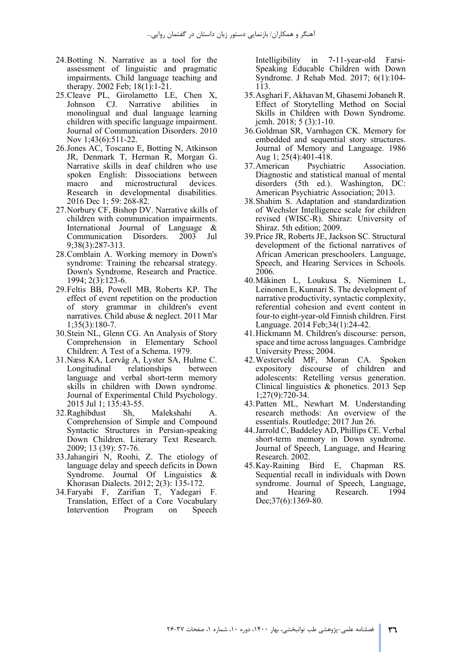- 24.Botting N. Narrative as a tool for the assessment of linguistic and pragmatic impairments. Child language teaching and therapy. 2002 Feb; 18(1):1-21.
- 25.Cleave PL, Girolametto LE, Chen X, Johnson CJ. Narrative abilities in monolingual and dual language learning children with specific language impairment. Journal of Communication Disorders. 2010 Nov 1;43(6):511-22.
- 26.Jones AC, Toscano E, Botting N, Atkinson JR, Denmark T, Herman R, Morgan G. Narrative skills in deaf children who use spoken English: Dissociations between macro and microstructural devices. Research in developmental disabilities. 2016 Dec 1; 59: 268-82.
- 27.Norbury CF, Bishop DV. Narrative skills of children with communication impairments. International Journal of Language & Communication Disorders. 2003 Jul 9;38(3):287-313.
- 28.Comblain A. Working memory in Down's syndrome: Training the rehearsal strategy. Down's Syndrome, Research and Practice. 1994; 2(3):123-6.
- 29.Feltis BB, Powell MB, Roberts KP. The effect of event repetition on the production of story grammar in children's event narratives. Child abuse & neglect. 2011 Mar 1;35(3):180-7.
- 30.Stein NL, Glenn CG. An Analysis of Story Comprehension in Elementary School Children: A Test of a Schema. 1979.
- 31.Næss KA, Lervåg A, Lyster SA, Hulme C. Longitudinal relationships between language and verbal short-term memory skills in children with Down syndrome. Journal of Experimental Child Psychology. 2015 Jul 1; 135:43-55.
- 32.Raghibdust Sh, Malekshahi A. Comprehension of Simple and Compound Syntactic Structures in Persian-speaking Down Children. Literary Text Research. 2009; 13 (39): 57-76.
- 33.Jahangiri N, Roohi, Z. The etiology of language delay and speech deficits in Down Syndrome. Journal Of Linguistics & Khorasan Dialects. 2012; 2(3): 135-172.
- 34.Faryabi F, Zarifian T, Yadegari F. Translation, Effect of a Core Vocabulary Intervention Program on Speech

Intelligibility in 7-11-year-old Farsi-Speaking Educable Children with Down Syndrome. J Rehab Med. 2017; 6(1):104- 113.

- 35.Asghari F, Akhavan M, Ghasemi Jobaneh R. Effect of Storytelling Method on Social Skills in Children with Down Syndrome. jcmh. 2018; 5 (3):1-10.
- 36.Goldman SR, Varnhagen CK. Memory for embedded and sequential story structures. Journal of Memory and Language. 1986 Aug 1; 25(4):401-418.<br>37. American Psychia
- Psychiatric Association. Diagnostic and statistical manual of mental disorders (5th ed.). Washington, DC: American Psychiatric Association; 2013.
- 38.Shahim S. Adaptation and standardization of Wechsler Intelligence scale for children revised (WISC-R). Shiraz: University of Shiraz. 5th edition; 2009.
- 39.Price JR, Roberts JE, Jackson SC. Structural development of the fictional narratives of African American preschoolers. Language, Speech, and Hearing Services in Schools. 2006.
- 40.Mäkinen L, Loukusa S, Nieminen L, Leinonen E, Kunnari S. The development of narrative productivity, syntactic complexity, referential cohesion and event content in four-to eight-year-old Finnish children. First Language. 2014 Feb;34(1):24-42.
- 41.Hickmann M. Children's discourse: person, space and time across languages. Cambridge University Press; 2004.
- 42.Westerveld MF, Moran CA. Spoken expository discourse of children and adolescents: Retelling versus generation. Clinical linguistics & phonetics. 2013 Sep 1;27(9):720-34.
- 43.Patten ML, Newhart M. Understanding research methods: An overview of the essentials. Routledge; 2017 Jun 26.
- 44.Jarrold C, Baddeley AD, Phillips CE. Verbal short-term memory in Down syndrome. Journal of Speech, Language, and Hearing Research. 2002.
- 45.Kay-Raining Bird E, Chapman RS. Sequential recall in individuals with Down syndrome. Journal of Speech, Language, and Hearing Research. 1994 Dec; 37(6): 1369-80.